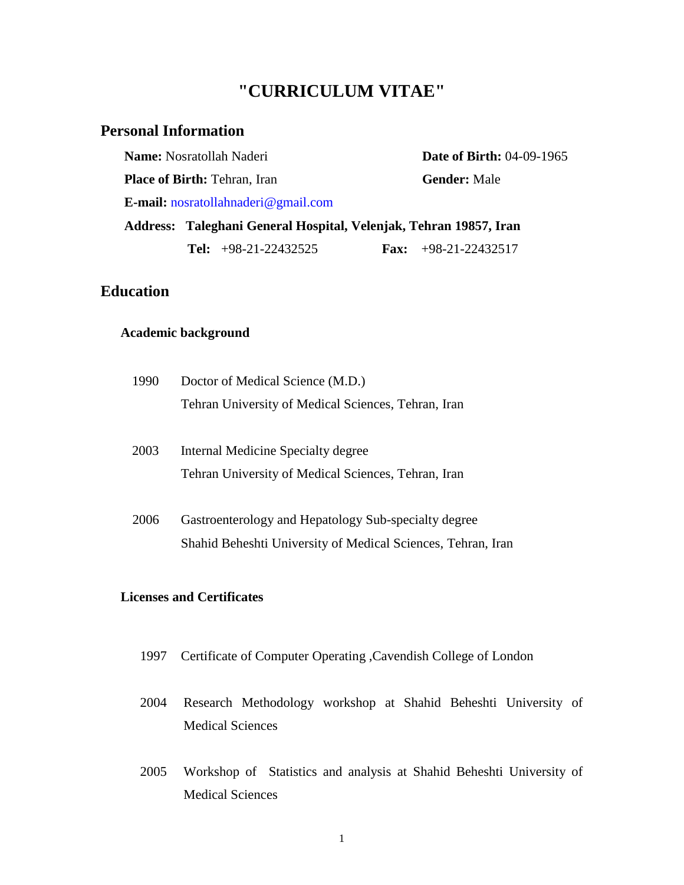# **"CURRICULUM VITAE"**

## **Personal Information**

**Name:** Nosratollah Naderi **Date of Birth: 04-09-1965 Place of Birth:** Tehran, Iran **Gender:** Male **E-mail:** nosratollahnaderi@gmail.com **Address: Taleghani General Hospital, Velenjak, Tehran 19857, Iran Tel:** +98-21-22432525 **Fax:** +98-21-22432517

## **Education**

#### **Academic background**

| 1990 | Doctor of Medical Science (M.D.)                             |  |  |  |  |  |
|------|--------------------------------------------------------------|--|--|--|--|--|
|      | Tehran University of Medical Sciences, Tehran, Iran          |  |  |  |  |  |
| 2003 | Internal Medicine Specialty degree                           |  |  |  |  |  |
|      | Tehran University of Medical Sciences, Tehran, Iran          |  |  |  |  |  |
| 2006 | Gastroenterology and Hepatology Sub-specialty degree         |  |  |  |  |  |
|      | Shahid Beheshti University of Medical Sciences, Tehran, Iran |  |  |  |  |  |

#### **Licenses and Certificates**

- 1997 Certificate of Computer Operating ,Cavendish College of London
- 2004 Research Methodology workshop at Shahid Beheshti University of Medical Sciences
- 2005 Workshop of Statistics and analysis at Shahid Beheshti University of Medical Sciences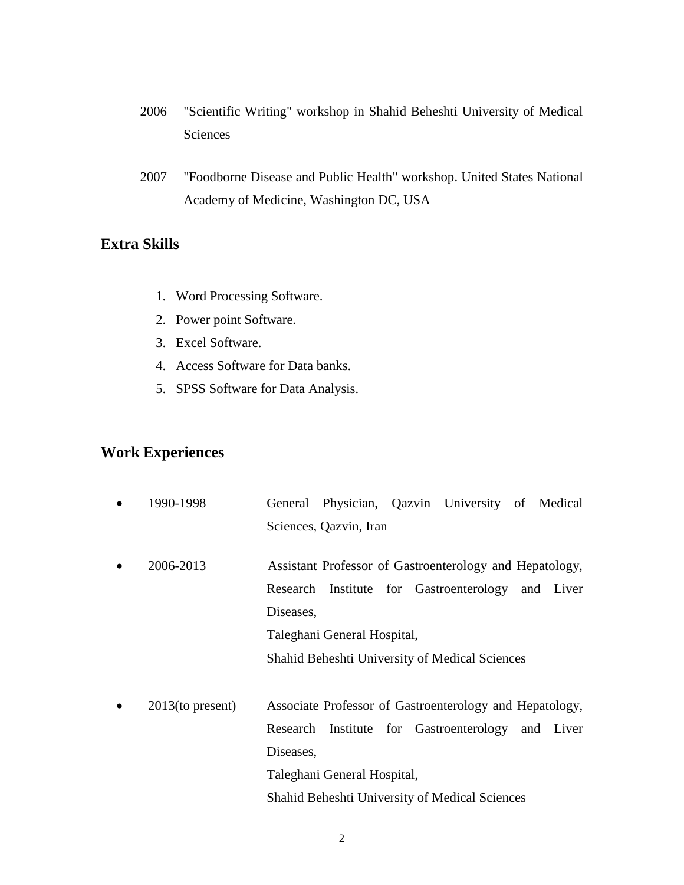- 2006 "Scientific Writing" workshop in Shahid Beheshti University of Medical Sciences
- 2007 ["Foodborne Disease and Public Health"](https://www.nap.edu/read/12094) workshop. United States National Academy of Medicine, Washington DC, USA

# **Extra Skills**

- 1. Word Processing Software.
- 2. Power point Software.
- 3. Excel Software.
- 4. Access Software for Data banks.
- 5. SPSS Software for Data Analysis.

# **Work Experiences**

| 1990-1998           |           |                             |  | General Physician, Qazvin University of Medical         |  |
|---------------------|-----------|-----------------------------|--|---------------------------------------------------------|--|
|                     |           | Sciences, Qazvin, Iran      |  |                                                         |  |
|                     |           |                             |  |                                                         |  |
| 2006-2013           |           |                             |  | Assistant Professor of Gastroenterology and Hepatology, |  |
|                     |           |                             |  | Research Institute for Gastroenterology and Liver       |  |
|                     | Diseases, |                             |  |                                                         |  |
|                     |           | Taleghani General Hospital, |  |                                                         |  |
|                     |           |                             |  | Shahid Beheshti University of Medical Sciences          |  |
|                     |           |                             |  |                                                         |  |
| $2013$ (to present) |           |                             |  | Associate Professor of Gastroenterology and Hepatology, |  |
|                     |           |                             |  | Research Institute for Gastroenterology and Liver       |  |
|                     | Diseases, |                             |  |                                                         |  |
|                     |           | Taleghani General Hospital, |  |                                                         |  |
|                     |           |                             |  | <b>Shahid Beheshti University of Medical Sciences</b>   |  |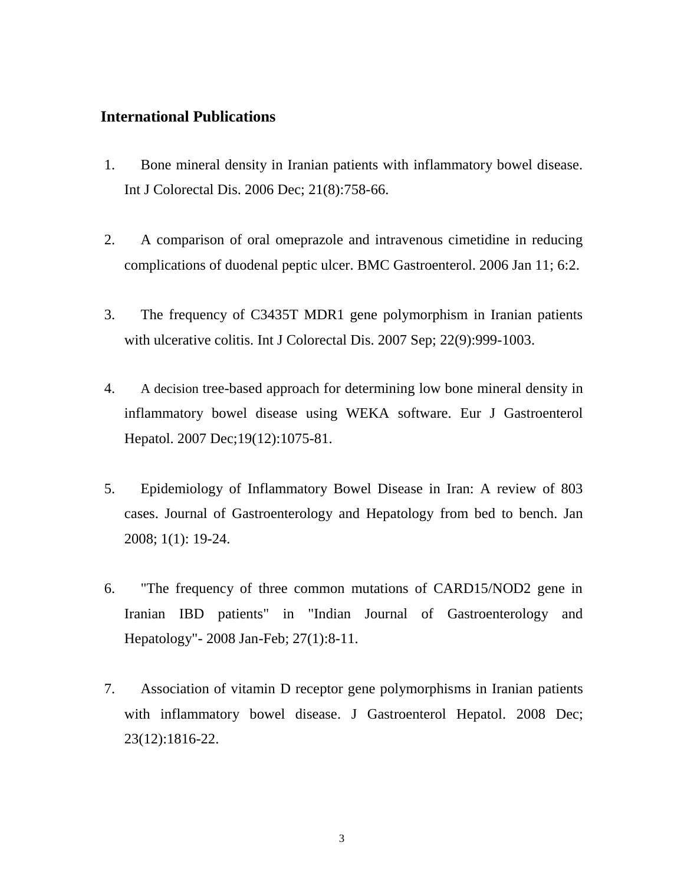#### **International Publications**

- 1. Bone mineral density in Iranian patients with inflammatory bowel disease. Int J Colorectal Dis. 2006 Dec; 21(8):758-66.
- 2. A comparison of oral omeprazole and intravenous cimetidine in reducing complications of duodenal peptic ulcer. BMC Gastroenterol. 2006 Jan 11; 6:2.
- 3. The frequency of C3435T MDR1 gene polymorphism in Iranian patients with ulcerative colitis. Int J Colorectal Dis. 2007 Sep; 22(9):999-1003.
- 4. A decision tree-based approach for determining low bone mineral density in inflammatory bowel disease using WEKA software. Eur J Gastroenterol Hepatol. 2007 Dec;19(12):1075-81.
- 5. Epidemiology of Inflammatory Bowel Disease in Iran: A review of 803 cases. Journal of Gastroenterology and Hepatology from bed to bench. Jan 2008; 1(1): 19-24.
- 6. "The frequency of three common mutations of CARD15/NOD2 gene in Iranian IBD patients" in "Indian Journal of Gastroenterology and Hepatology"- 2008 Jan-Feb; 27(1):8-11.
- 7. Association of vitamin D receptor gene polymorphisms in Iranian patients with inflammatory bowel disease. J Gastroenterol Hepatol. 2008 Dec; 23(12):1816-22.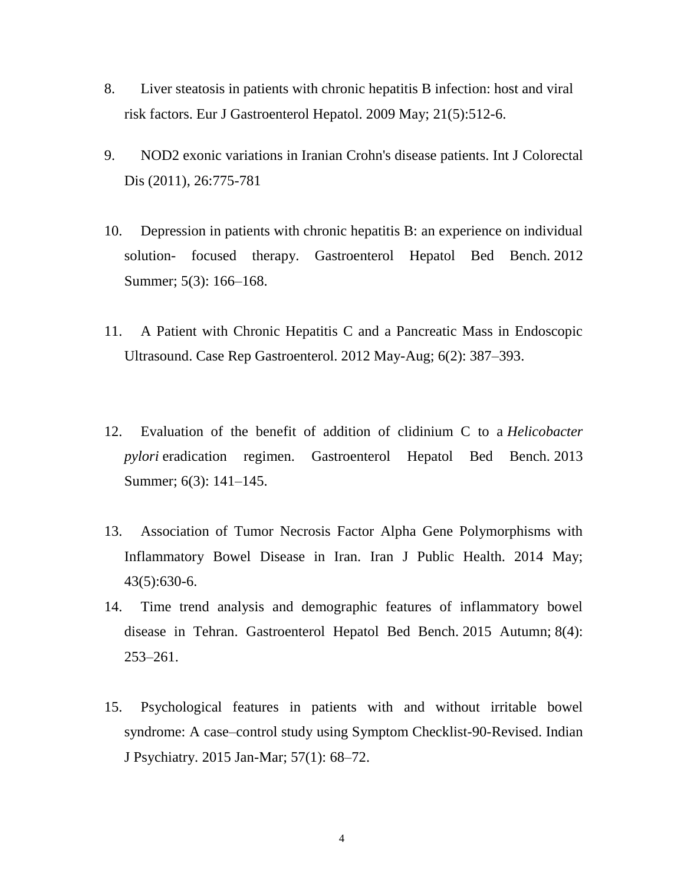- 8. Liver steatosis in patients with chronic hepatitis B infection: host and viral risk factors. Eur J Gastroenterol Hepatol. 2009 May; 21(5):512-6.
- 9. NOD2 exonic variations in Iranian Crohn's disease patients. Int J Colorectal Dis (2011), 26:775-781
- 10. [Depression in patients with chronic hepatitis B: an experience on individual](https://www.ncbi.nlm.nih.gov/pmc/articles/PMC4017476/)  solution- [focused therapy.](https://www.ncbi.nlm.nih.gov/pmc/articles/PMC4017476/) Gastroenterol Hepatol Bed Bench. 2012 Summer; 5(3): 166–168.
- 11. [A Patient with Chronic Hepatitis C and a Pancreatic Mass in Endoscopic](https://www.ncbi.nlm.nih.gov/pmc/articles/PMC3398077/)  [Ultrasound.](https://www.ncbi.nlm.nih.gov/pmc/articles/PMC3398077/) Case Rep Gastroenterol. 2012 May-Aug; 6(2): 387–393.
- 12. [Evaluation of the benefit of addition of clidinium C to a](https://www.ncbi.nlm.nih.gov/pmc/articles/PMC4017509/) *Helicobacter pylori* [eradication regimen.](https://www.ncbi.nlm.nih.gov/pmc/articles/PMC4017509/) Gastroenterol Hepatol Bed Bench. 2013 Summer; 6(3): 141–145.
- 13. [Association of Tumor Necrosis Factor Alpha Gene Polymorphisms with](https://www.ncbi.nlm.nih.gov/pubmed/26060764)  [Inflammatory Bowel Disease in Iran.](https://www.ncbi.nlm.nih.gov/pubmed/26060764) Iran J Public Health. 2014 May; 43(5):630-6.
- 14. [Time trend analysis and demographic features of inflammatory bowel](https://www.ncbi.nlm.nih.gov/pmc/articles/PMC4600515/)  [disease in Tehran.](https://www.ncbi.nlm.nih.gov/pmc/articles/PMC4600515/) Gastroenterol Hepatol Bed Bench. 2015 Autumn; 8(4): 253–261.
- 15. [Psychological features in patients with and without irritable bowel](https://www.ncbi.nlm.nih.gov/pmc/articles/PMC4314919/)  [syndrome: A case–control study using Symptom Checklist-90-Revised.](https://www.ncbi.nlm.nih.gov/pmc/articles/PMC4314919/) Indian J Psychiatry. 2015 Jan-Mar; 57(1): 68–72.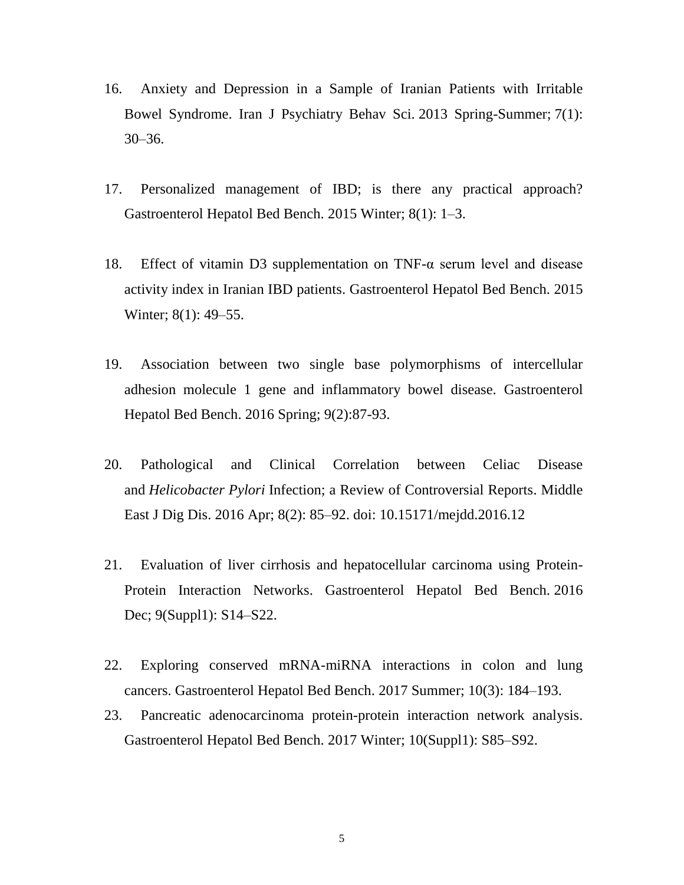- 16. [Anxiety and Depression in a Sample of Iranian Patients with Irritable](https://www.ncbi.nlm.nih.gov/pmc/articles/PMC3939983/)  [Bowel Syndrome.](https://www.ncbi.nlm.nih.gov/pmc/articles/PMC3939983/) Iran J Psychiatry Behav Sci. 2013 Spring-Summer; 7(1): 30–36.
- 17. [Personalized management of IBD; is there any practical approach?](https://www.ncbi.nlm.nih.gov/pmc/articles/PMC4285925/) Gastroenterol Hepatol Bed Bench. 2015 Winter; 8(1): 1–3.
- 18. [Effect of vitamin D3 supplementation on TNF-α serum level and disease](https://www.ncbi.nlm.nih.gov/pmc/articles/PMC4285932/)  [activity index in Iranian IBD patients.](https://www.ncbi.nlm.nih.gov/pmc/articles/PMC4285932/) Gastroenterol Hepatol Bed Bench. 2015 Winter; 8(1): 49–55.
- 19. [Association between two single base polymorphisms of intercellular](https://www.ncbi.nlm.nih.gov/pubmed/27099667)  [adhesion molecule 1 gene and inflammatory bowel disease.](https://www.ncbi.nlm.nih.gov/pubmed/27099667) Gastroenterol Hepatol Bed Bench. 2016 Spring; 9(2):87-93.
- 20. [Pathological and Clinical Correlation between Celiac Disease](https://www.ncbi.nlm.nih.gov/pmc/articles/PMC4885617/)  and *Helicobacter Pylori* [Infection; a Review of Controversial Reports.](https://www.ncbi.nlm.nih.gov/pmc/articles/PMC4885617/) Middle East J Dig Dis. 2016 Apr; 8(2): 85–92. doi: 10.15171/mejdd.2016.12
- 21. [Evaluation of liver cirrhosis and hepatocellular carcinoma using Protein-](https://www.ncbi.nlm.nih.gov/pmc/articles/PMC5310795/)[Protein Interaction Networks.](https://www.ncbi.nlm.nih.gov/pmc/articles/PMC5310795/) Gastroenterol Hepatol Bed Bench. 2016 Dec; 9(Suppl1): S14–S22.
- 22. [Exploring conserved mRNA-miRNA interactions in colon and lung](https://www.ncbi.nlm.nih.gov/pmc/articles/PMC5660268/)  [cancers.](https://www.ncbi.nlm.nih.gov/pmc/articles/PMC5660268/) Gastroenterol Hepatol Bed Bench. 2017 Summer; 10(3): 184–193.
- 23. [Pancreatic adenocarcinoma protein-protein interaction network analysis.](https://www.ncbi.nlm.nih.gov/pmc/articles/PMC5838186/) Gastroenterol Hepatol Bed Bench. 2017 Winter; 10(Suppl1): S85–S92.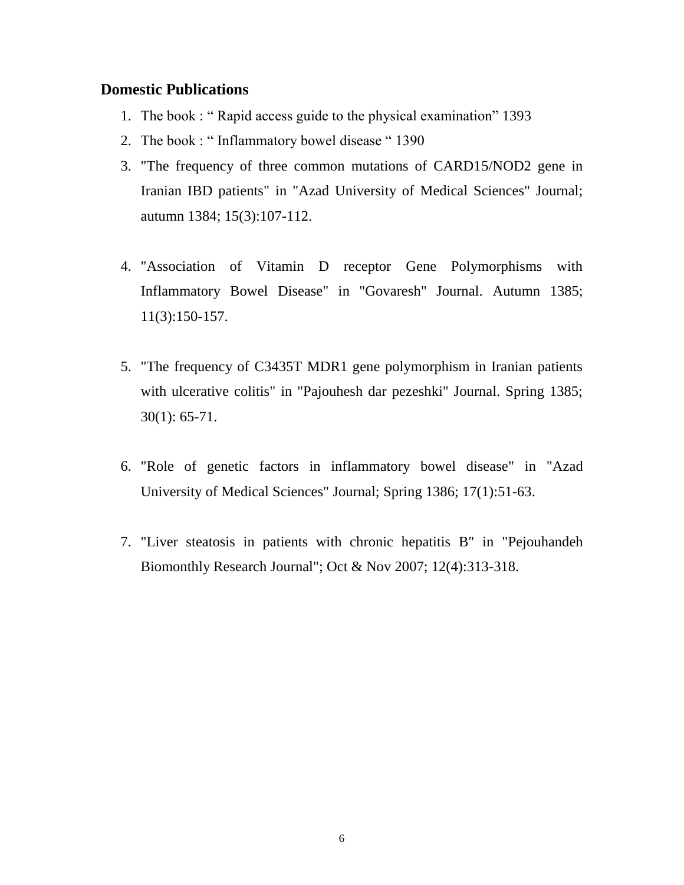#### **Domestic Publications**

- 1. The book : " Rapid access guide to the physical examination" 1393
- 2. The book : " Inflammatory bowel disease " 1390
- 3. "The frequency of three common mutations of CARD15/NOD2 gene in Iranian IBD patients" in "Azad University of Medical Sciences" Journal; autumn 1384; 15(3):107-112.
- 4. "Association of Vitamin D receptor Gene Polymorphisms with Inflammatory Bowel Disease" in "Govaresh" Journal. Autumn 1385; 11(3):150-157.
- 5. "The frequency of C3435T MDR1 gene polymorphism in Iranian patients with ulcerative colitis" in "Pajouhesh dar pezeshki" Journal. Spring 1385; 30(1): 65-71.
- 6. "Role of genetic factors in inflammatory bowel disease" in "Azad University of Medical Sciences" Journal; Spring 1386; 17(1):51-63.
- 7. "Liver steatosis in patients with chronic hepatitis B" in "Pejouhandeh Biomonthly Research Journal"; Oct & Nov 2007; 12(4):313-318.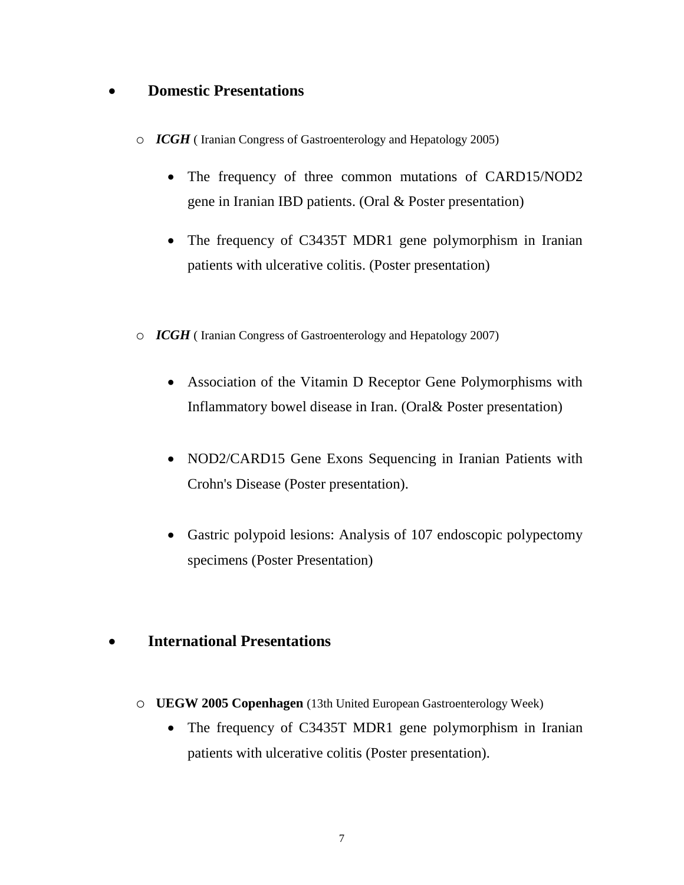# **Domestic Presentations**

- o *ICGH* ( Iranian Congress of Gastroenterology and Hepatology 2005)
	- The frequency of three common mutations of CARD15/NOD2 gene in Iranian IBD patients. (Oral & Poster presentation)
	- The frequency of C3435T MDR1 gene polymorphism in Iranian patients with ulcerative colitis. (Poster presentation)
- o *ICGH* ( Iranian Congress of Gastroenterology and Hepatology 2007)
	- Association of the Vitamin D Receptor Gene Polymorphisms with Inflammatory bowel disease in Iran. (Oral& Poster presentation)
	- NOD2/CARD15 Gene Exons Sequencing in Iranian Patients with Crohn's Disease (Poster presentation).
	- Gastric polypoid lesions: Analysis of 107 endoscopic polypectomy specimens (Poster Presentation)

### **International Presentations**

- o **UEGW 2005 Copenhagen** (13th United European Gastroenterology Week)
	- The frequency of C3435T MDR1 gene polymorphism in Iranian patients with ulcerative colitis (Poster presentation).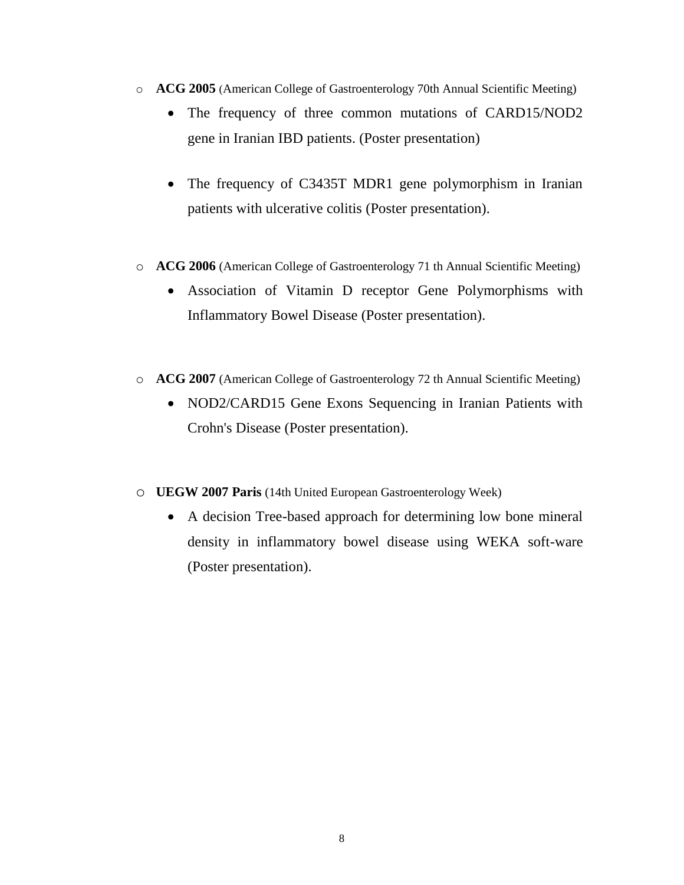- o **ACG 2005** (American College of Gastroenterology 70th Annual Scientific Meeting)
	- The frequency of three common mutations of CARD15/NOD2 gene in Iranian IBD patients. (Poster presentation)
	- The frequency of C3435T MDR1 gene polymorphism in Iranian patients with ulcerative colitis (Poster presentation).
- o **ACG 2006** (American College of Gastroenterology 71 th Annual Scientific Meeting)
	- Association of Vitamin D receptor Gene Polymorphisms with Inflammatory Bowel Disease (Poster presentation).
- o **ACG 2007** (American College of Gastroenterology 72 th Annual Scientific Meeting)
	- NOD2/CARD15 Gene Exons Sequencing in Iranian Patients with Crohn's Disease (Poster presentation).
- o **UEGW 2007 Paris** (14th United European Gastroenterology Week)
	- A decision Tree-based approach for determining low bone mineral density in inflammatory bowel disease using WEKA soft-ware (Poster presentation).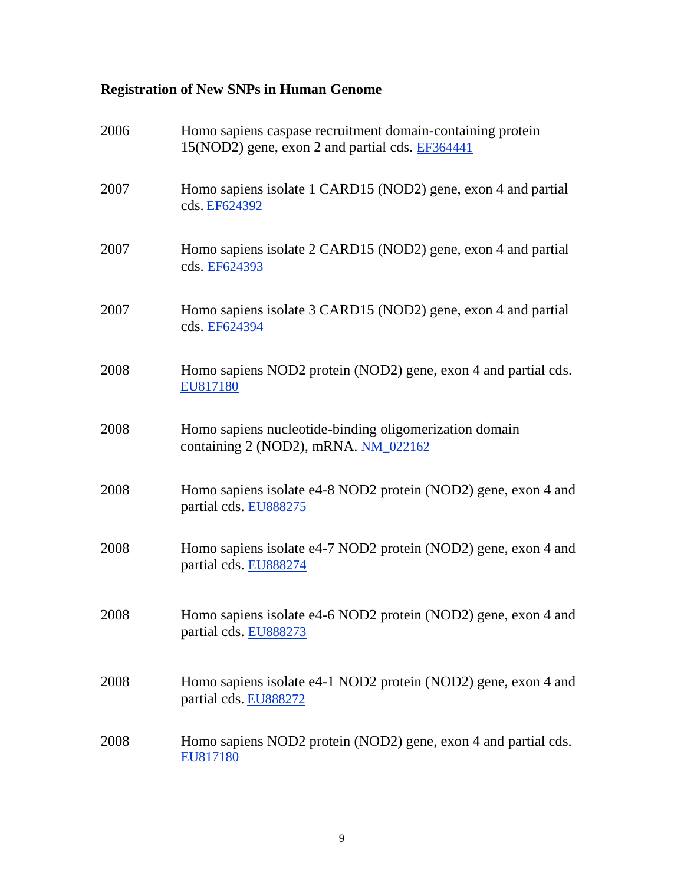# **Registration of New SNPs in Human Genome**

| 2006 | Homo sapiens caspase recruitment domain-containing protein<br>15(NOD2) gene, exon 2 and partial cds. EF364441 |
|------|---------------------------------------------------------------------------------------------------------------|
| 2007 | Homo sapiens isolate 1 CARD15 (NOD2) gene, exon 4 and partial<br>cds. EF624392                                |
| 2007 | Homo sapiens isolate 2 CARD15 (NOD2) gene, exon 4 and partial<br>cds. EF624393                                |
| 2007 | Homo sapiens isolate 3 CARD15 (NOD2) gene, exon 4 and partial<br>cds. EF624394                                |
| 2008 | Homo sapiens NOD2 protein (NOD2) gene, exon 4 and partial cds.<br>EU817180                                    |
| 2008 | Homo sapiens nucleotide-binding oligomerization domain<br>containing 2 (NOD2), mRNA. NM_022162                |
| 2008 | Homo sapiens isolate e4-8 NOD2 protein (NOD2) gene, exon 4 and<br>partial cds. EU888275                       |
| 2008 | Homo sapiens isolate e4-7 NOD2 protein (NOD2) gene, exon 4 and<br>partial cds. EU888274                       |
| 2008 | Homo sapiens isolate e4-6 NOD2 protein (NOD2) gene, exon 4 and<br>partial cds. EU888273                       |
| 2008 | Homo sapiens isolate e4-1 NOD2 protein (NOD2) gene, exon 4 and<br>partial cds. EU888272                       |
| 2008 | Homo sapiens NOD2 protein (NOD2) gene, exon 4 and partial cds.<br>EU817180                                    |